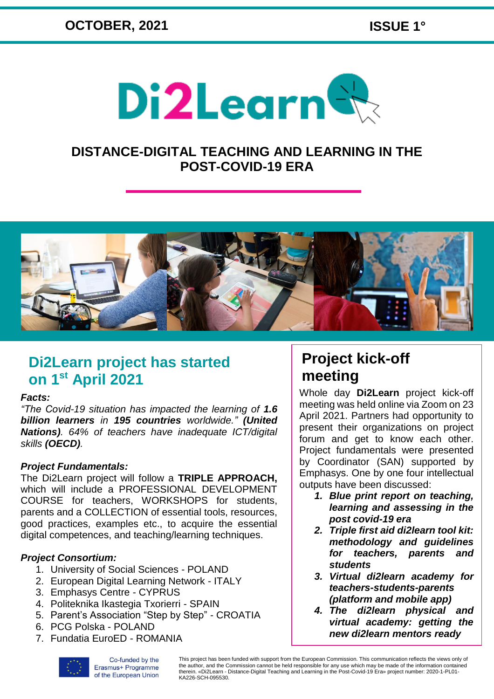

### **DISTANCE-DIGITAL TEACHING AND LEARNING IN THE POST-COVID-19 ERA**



### **Di2Learn project has started on 1st April 2021**

#### *Facts:*

*"The Covid-19 situation has impacted the learning of 1.6 billion learners in 195 countries worldwide." (United Nations). 64% of teachers have inadequate ICT/digital skills (OECD).*

#### *Project Fundamentals:*

The Di2Learn project will follow a **TRIPLE APPROACH,** which will include a PROFESSIONAL DEVELOPMENT COURSE for teachers, WORKSHOPS for students, parents and a COLLECTION of essential tools, resources, good practices, examples etc., to acquire the essential digital competences, and teaching/learning techniques.

#### *Project Consortium:*

- 1. University of Social Sciences POLAND
- 2. European Digital Learning Network ITALY
- 3. Emphasys Centre CYPRUS
- 4. Politeknika Ikastegia Txorierri SPAIN
- 5. Parent's Association "Step by Step" CROATIA
- 6. PCG Polska POLAND
- 7. Fundatia EuroED ROMANIA

## **Project kick-off meeting**

Whole day **Di2Learn** project kick-off meeting was held online via Zoom on 23 April 2021. Partners had opportunity to present their organizations on project forum and get to know each other. Project fundamentals were presented by Coordinator (SAN) supported by Emphasys. One by one four intellectual outputs have been discussed:

- *1. Blue print report on teaching, learning and assessing in the post covid-19 era*
- *2. Triple first aid di2learn tool kit: methodology and guidelines for teachers, parents and students*
- *3. Virtual di2learn academy for teachers-students-parents (platform and mobile app)*
- *4. The di2learn physical and virtual academy: getting the new di2learn mentors ready*



Co-funded by the Erasmus+ Programme of the European Union This project has been funded with support from the European Commission. This communication reflects the views only of the author, and the Commission cannot be held responsible for any use which may be made of the information contained<br>therein. «Di2Learn - Distance-Digital Teaching and Learning in the Post-Covid-19 Era» project number: 202 KA226-SCH-095530.